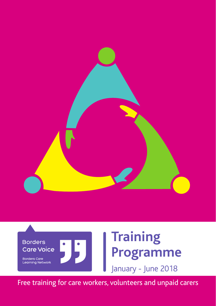



Free training for care workers, volunteers and unpaid carers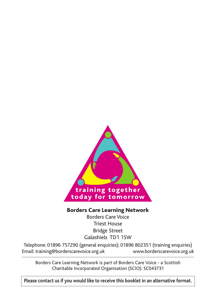

#### Borders Care Learning Network

Borders Care Voice Triest House Bridge Street Galashiels TD1 1SW

Telephone: 01896 757290 (general enquiries); 01896 802351 (training enquiries) Email: training@borderscarevoice.org.uk www.borderscarevoice.org.uk

Borders Care Learning Network is part of Borders Care Voice - a Scottish Charitable Incorporated Organisation (SCIO): SC043731

**Please contact us if you would like to receive this booklet in an alternative format.**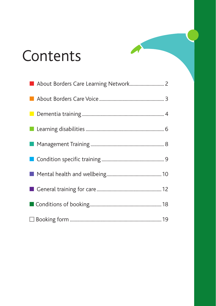# Contents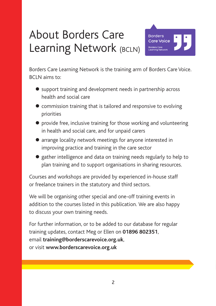### About Borders Care Learning Network (BCLN)



Borders Care Learning Network is the training arm of Borders Care Voice. BCLN aims to:

- support training and development needs in partnership across health and social care
- commission training that is tailored and responsive to evolving priorities
- **•** provide free, inclusive training for those working and volunteering in health and social care, and for unpaid carers
- arrange locality network meetings for anyone interested in improving practice and training in the care sector
- gather intelligence and data on training needs regularly to help to plan training and to support organisations in sharing resources.

Courses and workshops are provided by experienced in-house staff or freelance trainers in the statutory and third sectors.

We will be organising other special and one-off training events in addition to the courses listed in this publication. We are also happy to discuss your own training needs.

For further information, or to be added to our database for regular training updates, contact Meg or Ellen on **01896 802351**, email **training@borderscarevoice.org.uk**, or visit **www.borderscarevoice.org.uk**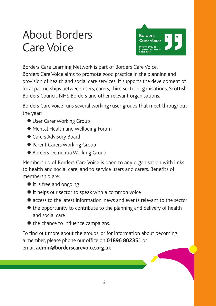### About Borders Care Voice



Borders Care Learning Network is part of Borders Care Voice. Borders Care Voice aims to promote good practice in the planning and provision of health and social care services. It supports the development of local partnerships between users, carers, third sector organisations, Scottish Borders Council, NHS Borders and other relevant organisations.

Borders Care Voice runs several working/user groups that meet throughout the year:

- User Carer Working Group
- Mental Health and Wellbeing Forum
- Carers Advisory Board
- Parent Carers Working Group
- Borders Dementia Working Group

Membership of Borders Care Voice is open to any organisation with links to health and social care, and to service users and carers. Benefits of membership are:

- it is free and ongoing
- $\bullet$  it helps our sector to speak with a common voice
- access to the latest information, news and events relevant to the sector
- $\bullet$  the opportunity to contribute to the planning and delivery of health and social care
- $\bullet$  the chance to influence campaigns.

To find out more about the groups, or for information about becoming a member, please phone our office on **01896 802351** or email **admin@borderscarevoice.org.uk**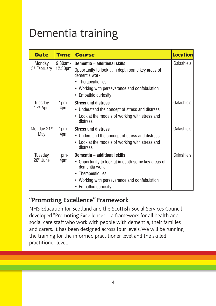### Dementia training

| <b>Date</b>                        | <b>Time</b>           | <b>Course</b>                                                                                                                                                                                       | <b>Location</b> |
|------------------------------------|-----------------------|-----------------------------------------------------------------------------------------------------------------------------------------------------------------------------------------------------|-----------------|
| Monday<br>5 <sup>th</sup> February | $9.30$ am-<br>12.30pm | Dementia - additional skills<br>Opportunity to look at in depth some key areas of<br>dementia work<br>• Therapeutic lies<br>• Working with perseverance and confabulation<br>• Empathic curiosity   | Galashiels      |
| Tuesday<br>17 <sup>th</sup> April  | 1pm-<br>4pm           | <b>Stress and distress</b><br>• Understand the concept of stress and distress<br>• Look at the models of working with stress and<br>distress                                                        | Galashiels      |
| Monday 21 <sup>st</sup><br>May     | 1pm-<br>4pm           | <b>Stress and distress</b><br>• Understand the concept of stress and distress<br>• Look at the models of working with stress and<br>distress                                                        | Galashiels      |
| Tuesday<br>26 <sup>th</sup> June   | 1pm-<br>4pm           | Dementia - additional skills<br>• Opportunity to look at in depth some key areas of<br>dementia work<br>• Therapeutic lies<br>• Working with perseverance and confabulation<br>• Empathic curiosity | Galashiels      |

#### **"Promoting Excellence" Framework**

NHS Education for Scotland and the Scottish Social Services Council developed "Promoting Excellence" – a framework for all health and social care staff who work with people with dementia, their families and carers. It has been designed across four levels. We will be running the training for the informed practitioner level and the skilled practitioner level.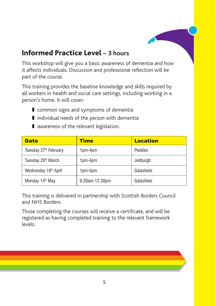#### Informed Practice Level **– 3 hours**

This workshop will give you a basic awareness of dementia and how it affects individuals. Discussion and professional reflection will be part of the course.

This training provides the baseline knowledge and skills required by all workers in health and social care settings, including working in a person's home. It will cover:

- common signs and symptoms of dementia
- individual needs of the person with dementia
- awareness of the relevant legislation.

| <b>Date</b>                       | <b>Time</b>    | <b>Location</b> |
|-----------------------------------|----------------|-----------------|
| Tuesday 27 <sup>th</sup> February | $1pm-4pm$      | Peebles         |
| Tuesday 20 <sup>th</sup> March    | $1pm-4pm$      | Jedburgh        |
| Wednesday 18th April              | $1pm-4pm$      | Galashiels      |
| Monday 14 <sup>th</sup> May       | 9.30am-12.30pm | Galashiels      |

This training is delivered in partnership with Scottish Borders Council and NHS Borders.

Those completing the courses will receive a certificate, and will be registered as having completed training to the relevant framework levels.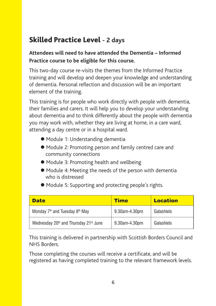#### Skilled Practice Level **- 2 days**

#### **Attendees will need to have attended the Dementia – Informed Practice course to be eligible for this course.**

This two-day course re-visits the themes from the Informed Practice training and will develop and deepen your knowledge and understanding of dementia. Personal reflection and discussion will be an important element of the training.

This training is for people who work directly with people with dementia, their families and carers. It will help you to develop your understanding about dementia and to think differently about the people with dementia you may work with, whether they are living at home, in a care ward, attending a day centre or in a hospital ward.

- Module 1: Understanding dementia
- Module 2: Promoting person and family centred care and community connections
- Module 3: Promoting health and wellbeing
- Module 4: Meeting the needs of the person with dementia who is distressed
- $\bullet$  Module 5: Supporting and protecting people's rights.

| <b>Date</b>                                            | <b>Time</b>   | <b>Location</b> |
|--------------------------------------------------------|---------------|-----------------|
| Monday 7 <sup>th</sup> and Tuesday 8 <sup>th</sup> May | 9.30am-4.30pm | Galashiels      |
| Wednesday 20th and Thursday 21st June                  | 9.30am-4.30pm | Galashiels      |

This training is delivered in partnership with Scottish Borders Council and NHS Borders.

Those completing the courses will receive a certificate, and will be registered as having completed training to the relevant framework levels.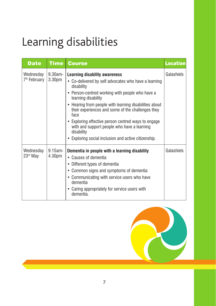## Learning disabilities

| <b>Date</b>                           | Time                             | <b>Course</b>                                                                                                                                                                                                                                                                                                                                                                                                                                                                           | <b>Location</b> |
|---------------------------------------|----------------------------------|-----------------------------------------------------------------------------------------------------------------------------------------------------------------------------------------------------------------------------------------------------------------------------------------------------------------------------------------------------------------------------------------------------------------------------------------------------------------------------------------|-----------------|
| Wednesday<br>7 <sup>th</sup> February | $9.30$ am-<br>3.30 <sub>pm</sub> | <b>Learning disability awareness</b><br>• Co-delivered by self advocates who have a learning<br>disability<br>• Person-centred working with people who have a<br>learning disability<br>• Hearing from people with learning disabilities about<br>their experiences and some of the challenges they<br>face<br>• Exploring effective person centred ways to engage<br>with and support people who have a learning<br>disability<br>• Exploring social inclusion and active citizenship. | Galashiels      |
| Wednesday<br>23 <sup>rd</sup> May     | $9.15$ am-<br>4.30 <sub>pm</sub> | Dementia in people with a learning disability<br>• Causes of dementia<br>• Different types of dementia<br>• Common signs and symptoms of dementia<br>• Communicating with service users who have<br>dementia<br>• Caring appropriately for service users with<br>dementia.                                                                                                                                                                                                              | Galashiels      |

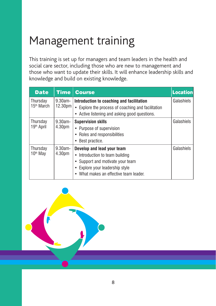### Management training

This training is set up for managers and team leaders in the health and social care sector, including those who are new to management and those who want to update their skills. It will enhance leadership skills and knowledge and build on existing knowledge.

| <b>Date</b>                        | Time                              | <b>Course</b>                                                                                                                                                                | <b>Location</b> |
|------------------------------------|-----------------------------------|------------------------------------------------------------------------------------------------------------------------------------------------------------------------------|-----------------|
| Thursday<br>15 <sup>th</sup> March | $9.30$ am-<br>12.30 <sub>pm</sub> | Introduction to coaching and facilitation<br>• Explore the process of coaching and facilitation<br>• Active listening and asking good questions.                             | Galashiels      |
| Thursday<br>19 <sup>th</sup> April | $9.30am -$<br>4.30 <sub>pm</sub>  | <b>Supervision skills</b><br>• Purpose of supervision<br>• Roles and responsibilities<br>Best practice.                                                                      | Galashiels      |
| Thursday<br>10 <sup>th</sup> May   | $9.30$ am-<br>4.30 <sub>pm</sub>  | Develop and lead your team<br>• Introduction to team building<br>• Support and motivate your team<br>• Explore your leadership style<br>What makes an effective team leader. | Galashiels      |

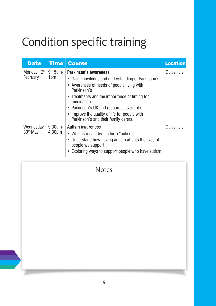## Condition specific training

| <b>Date</b>                       | Time                 | <b>Course</b>                                                                                                                                                                                                                                                                                                                               | <b>Location</b> |
|-----------------------------------|----------------------|---------------------------------------------------------------------------------------------------------------------------------------------------------------------------------------------------------------------------------------------------------------------------------------------------------------------------------------------|-----------------|
| Monday 12th<br>February           | 9.15am-<br>1pm       | Parkinson's awareness<br>• Gain knowledge and understanding of Parkinson's<br>• Awareness of needs of people living with<br>Parkinson's<br>• Treatments and the importance of timing for<br>medication<br>• Parkinson's UK and resources available<br>• Improve the quality of life for people with<br>Parkinson's and their family carers. | Galashiels      |
| Wednesday<br>30 <sup>th</sup> May | $9.30$ am-<br>4.30pm | <b>Autism awareness</b><br>• What is meant by the term "autism"<br>• Understand how having autism affects the lives of<br>people we support<br>• Exploring ways to support people who have autism.                                                                                                                                          | Galashiels      |

#### Notes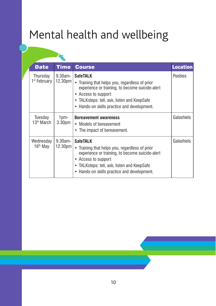### Mental health and wellbeing

| <b>Date</b>                          | Time                              | <b>Course</b>                                                                                                                                                                                                                                        | <b>Location</b> |
|--------------------------------------|-----------------------------------|------------------------------------------------------------------------------------------------------------------------------------------------------------------------------------------------------------------------------------------------------|-----------------|
| Thursday<br>1 <sup>st</sup> February | $9.30$ am-<br>12.30 <sub>pm</sub> | <b>SafeTALK</b><br>Training that helps you, regardless of prior<br>$\bullet$<br>experience or training, to become suicide-alert<br>• Access to support<br>• TALKsteps: tell, ask, listen and KeepSafe<br>• Hands-on skills practice and development. | Peebles         |
| Tuesday<br>13 <sup>th</sup> March    | 1pm-<br>3.30 <sub>pm</sub>        | <b>Bereavement awareness</b><br>• Models of bereavement<br>• The impact of bereavement.                                                                                                                                                              | Galashiels      |
| Wednesday<br>16 <sup>th</sup> May    | $9.30$ am-<br>12.30 <sub>pm</sub> | <b>SafeTALK</b><br>• Training that helps you, regardless of prior<br>experience or training, to become suicide-alert<br>• Access to support<br>• TALKsteps: tell, ask, listen and KeepSafe<br>• Hands-on skills practice and development.            | Galashiels      |

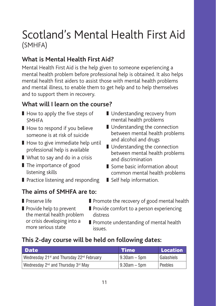### Scotland's Mental Health First Aid (SMHFA)

#### **What is Mental Health First Aid?**

Mental Health First Aid is the help given to someone experiencing a mental health problem before professional help is obtained. It also helps mental health first aiders to assist those with mental health problems and mental illness, to enable them to get help and to help themselves and to support them in recovery.

#### **What will I learn on the course?**

- How to apply the five steps of SMHFA
- How to respond if you believe someone is at risk of suicide
- How to give immediate help until professional help is available
- What to say and do in a crisis
- The importance of good listening skills
- Practice listening and responding

#### **The aims of SMHFA are to:**

❚ Preserve life

■ Promote the recovery of good mental health

■ Some basic information about common mental health problems

■ Understanding recovery from mental health problems ■ Understanding the connection between mental health problems

and alcohol and drugs ■ Understanding the connection between mental health problems

and discrimination

■ Self help information.

- Provide help to prevent the mental health problem or crisis developing into a more serious state
- Provide comfort to a person experiencing distress
- Promote understanding of mental health issues.

#### **This 2-day course will be held on following dates:**

| <b>Date</b>                                                | <b>Time</b>      | Location     |
|------------------------------------------------------------|------------------|--------------|
| Wednesday 21st and Thursday 22nd February                  | $19.30$ am – 5pm | l Galashiels |
| Wednesday 2 <sup>nd</sup> and Thursday 3 <sup>rd</sup> May | $9.30am - 5pm$   | l Peebles    |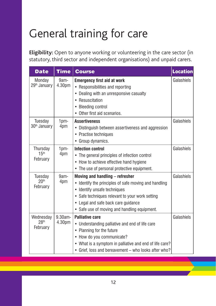### General training for care

**Eligibility:** Open to anyone working or volunteering in the care sector (in statutory, third sector and independent organisations) and unpaid carers.

| <b>Date</b>                               | <b>Time</b>            | <b>Course</b>                                                                                                                                                                                                                                                                                       | <b>Location</b> |
|-------------------------------------------|------------------------|-----------------------------------------------------------------------------------------------------------------------------------------------------------------------------------------------------------------------------------------------------------------------------------------------------|-----------------|
| Monday<br>29 <sup>th</sup> January        | 9am-<br>4.30pm         | <b>Emergency first aid at work</b><br>• Responsibilities and reporting<br>Dealing with an unresponsive casualty<br>$\bullet$<br>Resuscitation<br>$\bullet$<br><b>Bleeding control</b><br>Other first aid scenarios.<br>$\bullet$                                                                    | Galashiels      |
| Tuesday<br>30 <sup>th</sup> January       | 1 <sub>pm</sub><br>4pm | <b>Assertiveness</b><br>Distinguish between assertiveness and aggression<br>$\bullet$<br>Practise techniques<br>Group dynamics.<br>٠                                                                                                                                                                | Galashiels      |
| Thursday<br>15 <sup>th</sup><br>February  | 1pm-<br>4pm            | <b>Infection control</b><br>• The general principles of infection control<br>• How to achieve effective hand hygiene<br>• The use of personal protective equipment.                                                                                                                                 | Galashiels      |
| Tuesday<br>20 <sup>th</sup><br>February   | 9am-<br>4pm            | Moving and handling - refresher<br>Identify the principles of safe moving and handling<br>$\bullet$<br>Identify unsafe techniques<br>$\bullet$<br>Safe techniques relevant to your work setting<br>$\bullet$<br>• Legal and safe back care guidance<br>• Safe use of moving and handling equipment. | Galashiels      |
| Wednesday<br>28 <sup>th</sup><br>February | $9.30$ am-<br>4.30pm   | <b>Palliative care</b><br>• Understanding palliative and end of life care<br>• Planning for the future<br>• How do you communicate?<br>• What is a symptom in palliative and end of life care?<br>• Grief, loss and bereavement - who looks after who?                                              | Galashiels      |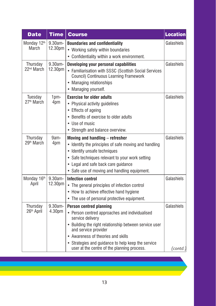| <b>Date</b>            | <b>Time</b> | <b>Course</b>                                                                                     | <b>Location</b>    |
|------------------------|-------------|---------------------------------------------------------------------------------------------------|--------------------|
| Monday 12th            | $9.30am -$  | <b>Boundaries and confidentiality</b>                                                             | Galashiels         |
| March                  | 12.30pm     | • Working safely within boundaries                                                                |                    |
|                        |             | • Confidentiality within a work environment.                                                      |                    |
| Thursday               | 9.30am-     | Developing your personal capabilities                                                             | Galashiels         |
| 22 <sup>nd</sup> March | 12.30pm     | • Familiarisation with SSSC (Scottish Social Services<br>Council) Continuous Learning Framework   |                    |
|                        |             | • Managing relationships                                                                          |                    |
|                        |             | • Managing yourself.                                                                              |                    |
| Tuesday                | 1pm-        | <b>Exercise for older adults</b>                                                                  | Galashiels         |
| 27 <sup>th</sup> March | 4pm         | • Physical activity guidelines                                                                    |                    |
|                        |             | • Effects of ageing                                                                               |                    |
|                        |             | • Benefits of exercise to older adults                                                            |                    |
|                        |             | • Use of music                                                                                    |                    |
|                        |             | • Strength and balance overview.                                                                  |                    |
| Thursday               | 9am-        | Moving and handling - refresher                                                                   | Galashiels         |
| 29 <sup>th</sup> March | 4pm         | • Identify the principles of safe moving and handling                                             |                    |
|                        |             | • Identify unsafe techniques                                                                      |                    |
|                        |             | • Safe techniques relevant to your work setting                                                   |                    |
|                        |             | • Legal and safe back care guidance                                                               |                    |
|                        |             | • Safe use of moving and handling equipment.                                                      |                    |
| Monday 16th            | 9.30am-     | Infection control                                                                                 | Galashiels         |
| April                  | 12.30pm     | • The general principles of infection control                                                     |                    |
|                        |             | • How to achieve effective hand hygiene                                                           |                    |
|                        |             | • The use of personal protective equipment.                                                       |                    |
| Thursday               | $9.30$ am-  | <b>Person centred planning</b>                                                                    | Galashiels         |
| 26 <sup>th</sup> April | 4.30pm      | • Person centred approaches and individualised<br>service delivery                                |                    |
|                        |             | • Building the right relationship between service user<br>and service provider                    |                    |
|                        |             | • Awareness of theories and skills                                                                |                    |
|                        |             | • Strategies and guidance to help keep the service<br>user at the centre of the planning process. | $\text{ (contd.)}$ |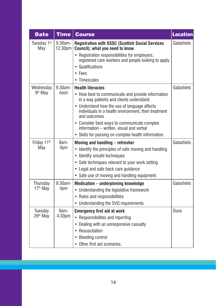| <b>Date</b>          | <b>Time</b>        | <b>Course</b>                                                                                                        | <b>Location</b> |
|----------------------|--------------------|----------------------------------------------------------------------------------------------------------------------|-----------------|
| Tuesday 1st<br>May   | 9.30am-<br>12.30pm | <b>Registration with SSSC (Scottish Social Services</b><br>Council); what you need to know                           | Galashiels      |
|                      |                    | • Registration responsibilities for employers,                                                                       |                 |
|                      |                    | registered care workers and people looking to apply<br>• Qualifications                                              |                 |
|                      |                    | Fees                                                                                                                 |                 |
|                      |                    | Timescales                                                                                                           |                 |
| Wednesday            | $9.30am -$         | <b>Health literacies</b>                                                                                             | Galashiels      |
| 9 <sup>th</sup> May  | noon               | • How best to communicate and provide information<br>in a way patients and clients understand.                       |                 |
|                      |                    | • Understand how the use of language affects<br>individuals in a health environment, their treatment<br>and outcomes |                 |
|                      |                    | • Consider best ways to communicate complex<br>information - written, visual and verbal                              |                 |
|                      |                    | • Skills for passing on complex health information.                                                                  |                 |
| Friday 11th          | 9am-               | Moving and handling - refresher                                                                                      | Galashiels      |
| May                  | 4pm                | • Identify the principles of safe moving and handling                                                                |                 |
|                      |                    | • Identify unsafe techniques                                                                                         |                 |
|                      |                    | • Safe techniques relevant to your work setting                                                                      |                 |
|                      |                    | • Legal and safe back care guidance                                                                                  |                 |
|                      |                    | • Safe use of moving and handling equipment.                                                                         |                 |
| Thursday             | 9.30am-            | Medication - underpinning knowledge                                                                                  | Galashiels      |
| 17 <sup>th</sup> May | 4pm                | • Understanding the legislative framework                                                                            |                 |
|                      |                    | • Roles and responsibilities                                                                                         |                 |
|                      |                    | • Understanding the SVQ requirements.                                                                                |                 |
| Tuesday              | 9am-               | <b>Emergency first aid at work</b>                                                                                   | Duns            |
| 29 <sup>th</sup> May | 4.30pm             | • Responsibilities and reporting                                                                                     |                 |
|                      |                    | Dealing with an unresponsive casualty<br>۰                                                                           |                 |
|                      |                    | • Resuscitation                                                                                                      |                 |
|                      |                    | <b>Bleeding control</b>                                                                                              |                 |
|                      |                    | • Other first aid scenarios.                                                                                         |                 |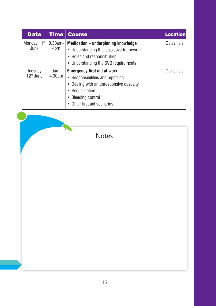| <b>Date</b>                     | <b>Time</b>                | <b>Course</b>                                                                                                                                                                          | <b>Location</b> |
|---------------------------------|----------------------------|----------------------------------------------------------------------------------------------------------------------------------------------------------------------------------------|-----------------|
| Monday 11 <sup>th</sup><br>June | $9.30$ am-<br>4pm          | Medication - underpinning knowledge<br>• Understanding the legislative framework<br>• Roles and responsibilities<br>• Understanding the SVQ requirements                               | Galashiels      |
| Tuesday<br>$12th$ June          | 9am-<br>4.30 <sub>pm</sub> | <b>Emergency first aid at work</b><br>• Responsibilities and reporting<br>Dealing with an unresponsive casualty<br>• Resuscitation<br>• Bleeding control<br>Other first aid scenarios. | Galashiels      |

Notes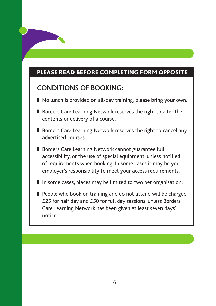#### PLEASE READ BEFORE COMPLETING FORM OPPOSITE

#### **CONDITIONS OF BOOKING:**

- No lunch is provided on all-day training, please bring your own.
- Borders Care Learning Network reserves the right to alter the contents or delivery of a course.
- Borders Care Learning Network reserves the right to cancel any advertised courses.
- Borders Care Learning Network cannot guarantee full accessibility, or the use of special equipment, unless notified of requirements when booking. In some cases it may be your employer's responsibility to meet your access requirements.
- In some cases, places may be limited to two per organisation.
- People who book on training and do not attend will be charged £25 for half day and £50 for full day sessions, unless Borders Care Learning Network has been given at least seven days' notice.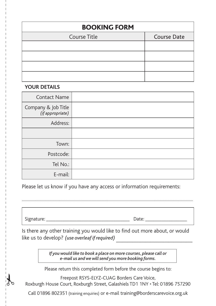| <b>BOOKING FORM</b> |                    |  |  |
|---------------------|--------------------|--|--|
| Course Title        | <b>Course Date</b> |  |  |
|                     |                    |  |  |
|                     |                    |  |  |
|                     |                    |  |  |
|                     |                    |  |  |

#### **YOUR DETAILS**

| <b>Contact Name</b>                     |  |
|-----------------------------------------|--|
| Company & Job Title<br>(if appropriate) |  |
| Address:                                |  |
|                                         |  |
| Town:                                   |  |
| Postcode:                               |  |
| Tel No.:                                |  |
| E-mail:                                 |  |

Please let us know if you have any access or information requirements:

Signature: etc. and the set of the set of the set of the Date:  $\Box$ 

Is there any other training you would like to find out more about, or would like us to develop? (use overleaf if required)

..................................................................................................................................................................................................................

*If you would like to book a place on more courses, please call or e-mail us and we will send you more booking forms.*

Please return this completed form before the course begins to:

Freepost RSYS-ELYZ-CUAG Borders Care Voice, Roxburgh House Court, Roxburgh Street, Galashiels TD1 1NY • Tel: 01896 757290

Call 01896 802351 (training enquiries) or e-mail training@borderscarevoice.org.uk